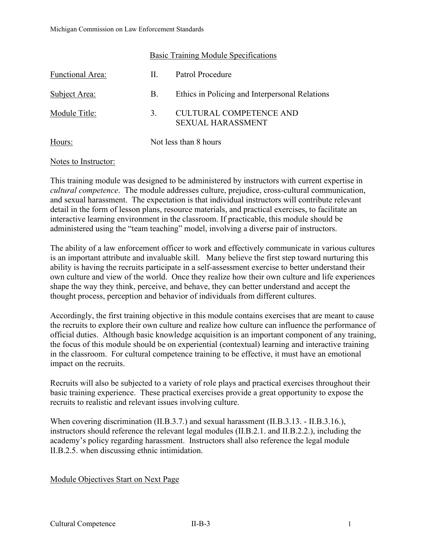Hours: Not less than 8 hours

# Basic Training Module Specifications Functional Area: II. Patrol Procedure Subject Area: B. Ethics in Policing and Interpersonal Relations Module Title: 3. CULTURAL COMPETENCE AND SEXUAL HARASSMENT

#### Notes to Instructor:

This training module was designed to be administered by instructors with current expertise in *cultural competence*. The module addresses culture, prejudice, cross-cultural communication, and sexual harassment. The expectation is that individual instructors will contribute relevant detail in the form of lesson plans, resource materials, and practical exercises, to facilitate an interactive learning environment in the classroom. If practicable, this module should be administered using the "team teaching" model, involving a diverse pair of instructors.

The ability of a law enforcement officer to work and effectively communicate in various cultures is an important attribute and invaluable skill. Many believe the first step toward nurturing this ability is having the recruits participate in a self-assessment exercise to better understand their own culture and view of the world. Once they realize how their own culture and life experiences shape the way they think, perceive, and behave, they can better understand and accept the thought process, perception and behavior of individuals from different cultures.

Accordingly, the first training objective in this module contains exercises that are meant to cause the recruits to explore their own culture and realize how culture can influence the performance of official duties. Although basic knowledge acquisition is an important component of any training, the focus of this module should be on experiential (contextual) learning and interactive training in the classroom. For cultural competence training to be effective, it must have an emotional impact on the recruits.

Recruits will also be subjected to a variety of role plays and practical exercises throughout their basic training experience. These practical exercises provide a great opportunity to expose the recruits to realistic and relevant issues involving culture.

When covering discrimination (II.B.3.7.) and sexual harassment (II.B.3.13. - II.B.3.16.), instructors should reference the relevant legal modules (II.B.2.1. and II.B.2.2.), including the academy's policy regarding harassment. Instructors shall also reference the legal module II.B.2.5. when discussing ethnic intimidation.

#### Module Objectives Start on Next Page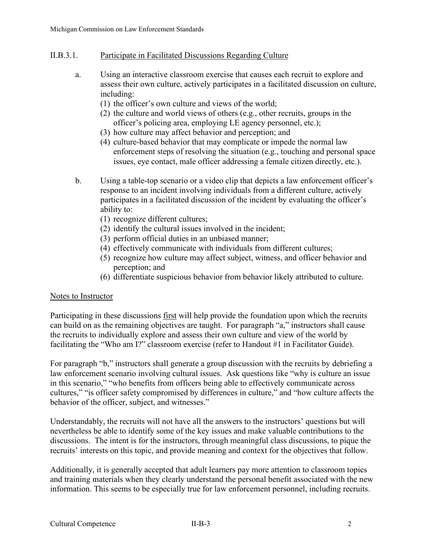## II.B.3.1. Participate in Facilitated Discussions Regarding Culture

- a. Using an interactive classroom exercise that causes each recruit to explore and assess their own culture, actively participates in a facilitated discussion on culture, including:
	- (1) the officer's own culture and views of the world;
	- (2) the culture and world views of others (e.g., other recruits, groups in the officer's policing area, employing LE agency personnel, etc.);
	- (3) how culture may affect behavior and perception; and
	- (4) culture-based behavior that may complicate or impede the normal law enforcement steps of resolving the situation (e.g., touching and personal space issues, eye contact, male officer addressing a female citizen directly, etc.).
- b. Using a table-top scenario or a video clip that depicts a law enforcement officer's response to an incident involving individuals from a different culture, actively participates in a facilitated discussion of the incident by evaluating the officer's ability to:
	- (1) recognize different cultures;
	- (2) identify the cultural issues involved in the incident;
	- (3) perform official duties in an unbiased manner;
	- (4) effectively communicate with individuals from different cultures;
	- (5) recognize how culture may affect subject, witness, and officer behavior and perception; and
	- (6) differentiate suspicious behavior from behavior likely attributed to culture.

#### Notes to Instructor

Participating in these discussions first will help provide the foundation upon which the recruits can build on as the remaining objectives are taught. For paragraph "a," instructors shall cause the recruits to individually explore and assess their own culture and view of the world by facilitating the "Who am I?" classroom exercise (refer to Handout #1 in Facilitator Guide).

For paragraph "b," instructors shall generate a group discussion with the recruits by debriefing a law enforcement scenario involving cultural issues. Ask questions like "why is culture an issue in this scenario," "who benefits from officers being able to effectively communicate across cultures," "is officer safety compromised by differences in culture," and "how culture affects the behavior of the officer, subject, and witnesses."

Understandably, the recruits will not have all the answers to the instructors' questions but will nevertheless be able to identify some of the key issues and make valuable contributions to the discussions. The intent is for the instructors, through meaningful class discussions, to pique the recruits' interests on this topic, and provide meaning and context for the objectives that follow.

Additionally, it is generally accepted that adult learners pay more attention to classroom topics and training materials when they clearly understand the personal benefit associated with the new information. This seems to be especially true for law enforcement personnel, including recruits.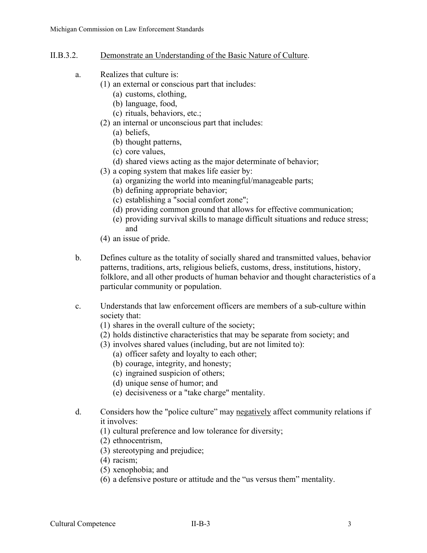## II.B.3.2. Demonstrate an Understanding of the Basic Nature of Culture.

- a. Realizes that culture is:
	- (1) an external or conscious part that includes:
		- (a) customs, clothing,
		- (b) language, food,
		- (c) rituals, behaviors, etc.;
		- (2) an internal or unconscious part that includes:
			- (a) beliefs,
			- (b) thought patterns,
			- (c) core values,
			- (d) shared views acting as the major determinate of behavior;
		- (3) a coping system that makes life easier by:
			- (a) organizing the world into meaningful/manageable parts;
			- (b) defining appropriate behavior;
			- (c) establishing a "social comfort zone";
			- (d) providing common ground that allows for effective communication;
			- (e) providing survival skills to manage difficult situations and reduce stress; and
	- (4) an issue of pride.
- b. Defines culture as the totality of socially shared and transmitted values, behavior patterns, traditions, arts, religious beliefs, customs, dress, institutions, history, folklore, and all other products of human behavior and thought characteristics of a particular community or population.
- c. Understands that law enforcement officers are members of a sub-culture within society that:
	- (1) shares in the overall culture of the society;
	- (2) holds distinctive characteristics that may be separate from society; and
	- (3) involves shared values (including, but are not limited to):
		- (a) officer safety and loyalty to each other;
		- (b) courage, integrity, and honesty;
		- (c) ingrained suspicion of others;
		- (d) unique sense of humor; and
		- (e) decisiveness or a "take charge" mentality.
- d. Considers how the "police culture" may negatively affect community relations if it involves:
	- (1) cultural preference and low tolerance for diversity;
	- (2) ethnocentrism,
	- (3) stereotyping and prejudice;
	- (4) racism;
	- (5) xenophobia; and
	- (6) a defensive posture or attitude and the "us versus them" mentality.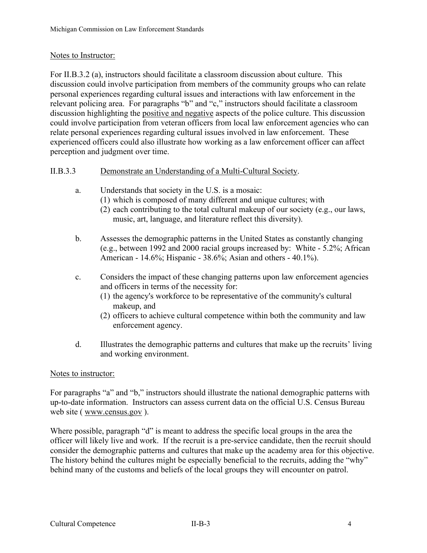### Notes to Instructor:

For II.B.3.2 (a), instructors should facilitate a classroom discussion about culture. This discussion could involve participation from members of the community groups who can relate personal experiences regarding cultural issues and interactions with law enforcement in the relevant policing area. For paragraphs "b" and "c," instructors should facilitate a classroom discussion highlighting the positive and negative aspects of the police culture. This discussion could involve participation from veteran officers from local law enforcement agencies who can relate personal experiences regarding cultural issues involved in law enforcement. These experienced officers could also illustrate how working as a law enforcement officer can affect perception and judgment over time.

## II.B.3.3 Demonstrate an Understanding of a Multi-Cultural Society.

- a. Understands that society in the U.S. is a mosaic:
	- (1) which is composed of many different and unique cultures; with
	- (2) each contributing to the total cultural makeup of our society (e.g., our laws, music, art, language, and literature reflect this diversity).
- b. Assesses the demographic patterns in the United States as constantly changing (e.g., between 1992 and 2000 racial groups increased by: White - 5.2%; African American - 14.6%; Hispanic - 38.6%; Asian and others - 40.1%).
- c. Considers the impact of these changing patterns upon law enforcement agencies and officers in terms of the necessity for:
	- (1) the agency's workforce to be representative of the community's cultural makeup, and
	- (2) officers to achieve cultural competence within both the community and law enforcement agency.
- d. Illustrates the demographic patterns and cultures that make up the recruits' living and working environment.

#### Notes to instructor:

For paragraphs "a" and "b," instructors should illustrate the national demographic patterns with up-to-date information. Instructors can assess current data on the official U.S. Census Bureau web site ( [www.census.gov](http://www.census.gov/) ).

Where possible, paragraph "d" is meant to address the specific local groups in the area the officer will likely live and work. If the recruit is a pre-service candidate, then the recruit should consider the demographic patterns and cultures that make up the academy area for this objective. The history behind the cultures might be especially beneficial to the recruits, adding the "why" behind many of the customs and beliefs of the local groups they will encounter on patrol.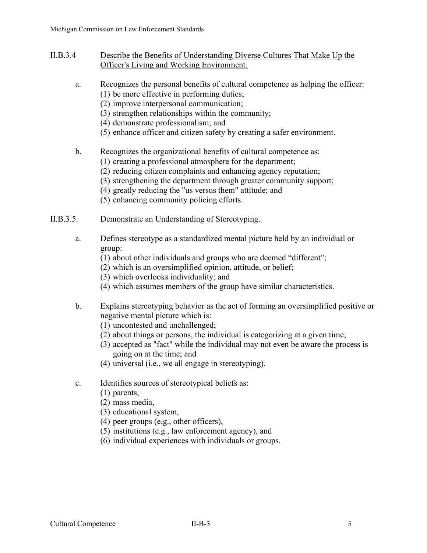- II.B.3.4 Describe the Benefits of Understanding Diverse Cultures That Make Up the Officer's Living and Working Environment.
	- a. Recognizes the personal benefits of cultural competence as helping the officer: (1) be more effective in performing duties;
		- (2) improve interpersonal communication;
		- (3) strengthen relationships within the community;
		- (4) demonstrate professionalism; and
		- (5) enhance officer and citizen safety by creating a safer environment.
	- b. Recognizes the organizational benefits of cultural competence as:
		- (1) creating a professional atmosphere for the department;
		- (2) reducing citizen complaints and enhancing agency reputation;
		- (3) strengthening the department through greater community support;
		- (4) greatly reducing the "us versus them" attitude; and
		- (5) enhancing community policing efforts.

#### II.B.3.5. Demonstrate an Understanding of Stereotyping.

- a. Defines stereotype as a standardized mental picture held by an individual or group:
	- (1) about other individuals and groups who are deemed "different";
	- (2) which is an oversimplified opinion, attitude, or belief;
	- (3) which overlooks individuality; and
	- (4) which assumes members of the group have similar characteristics.
- b. Explains stereotyping behavior as the act of forming an oversimplified positive or negative mental picture which is:
	- (1) uncontested and unchallenged;
	- (2) about things or persons, the individual is categorizing at a given time;
	- (3) accepted as "fact" while the individual may not even be aware the process is going on at the time; and
	- (4) universal (i.e., we all engage in stereotyping).
- c. Identifies sources of stereotypical beliefs as:
	- (1) parents,
	- (2) mass media,
	- (3) educational system,
	- (4) peer groups (e.g., other officers),
	- (5) institutions (e.g., law enforcement agency), and
	- (6) individual experiences with individuals or groups.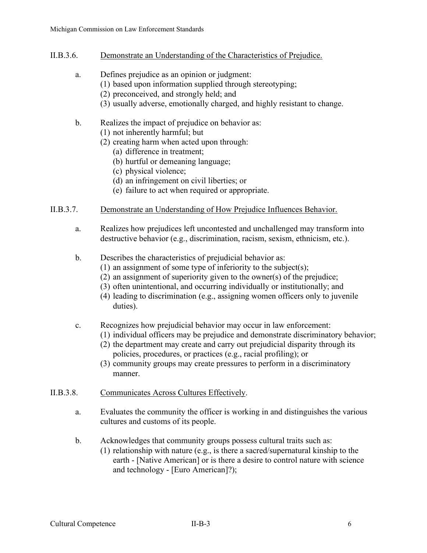- II.B.3.6. Demonstrate an Understanding of the Characteristics of Prejudice.
	- a. Defines prejudice as an opinion or judgment:
		- (1) based upon information supplied through stereotyping;
		- (2) preconceived, and strongly held; and
		- (3) usually adverse, emotionally charged, and highly resistant to change.
	- b. Realizes the impact of prejudice on behavior as:
		- (1) not inherently harmful; but
		- (2) creating harm when acted upon through:
			- (a) difference in treatment;
			- (b) hurtful or demeaning language;
			- (c) physical violence;
			- (d) an infringement on civil liberties; or
			- (e) failure to act when required or appropriate.

#### II.B.3.7. Demonstrate an Understanding of How Prejudice Influences Behavior.

- a. Realizes how prejudices left uncontested and unchallenged may transform into destructive behavior (e.g., discrimination, racism, sexism, ethnicism, etc.).
- b. Describes the characteristics of prejudicial behavior as:
	- (1) an assignment of some type of inferiority to the subject(s);
	- (2) an assignment of superiority given to the owner(s) of the prejudice;
	- (3) often unintentional, and occurring individually or institutionally; and
	- (4) leading to discrimination (e.g., assigning women officers only to juvenile duties).
- c. Recognizes how prejudicial behavior may occur in law enforcement:
	- (1) individual officers may be prejudice and demonstrate discriminatory behavior;
	- (2) the department may create and carry out prejudicial disparity through its policies, procedures, or practices (e.g., racial profiling); or
	- (3) community groups may create pressures to perform in a discriminatory manner.

#### II.B.3.8. Communicates Across Cultures Effectively.

- a. Evaluates the community the officer is working in and distinguishes the various cultures and customs of its people.
- b. Acknowledges that community groups possess cultural traits such as:
	- (1) relationship with nature (e.g., is there a sacred/supernatural kinship to the earth - [Native American] or is there a desire to control nature with science and technology - [Euro American]?);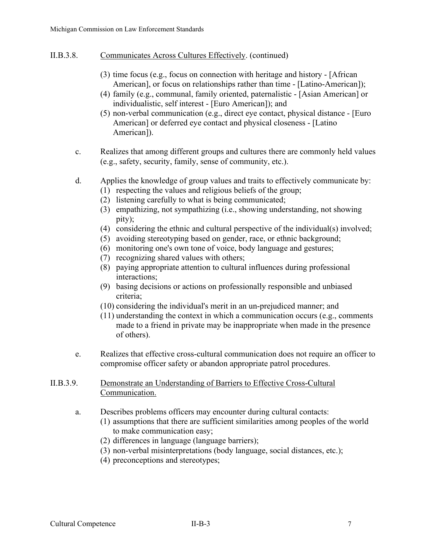- II.B.3.8. Communicates Across Cultures Effectively. (continued)
	- (3) time focus (e.g., focus on connection with heritage and history [African American], or focus on relationships rather than time - [Latino-American]);
	- (4) family (e.g., communal, family oriented, paternalistic [Asian American] or individualistic, self interest - [Euro American]); and
	- (5) non-verbal communication (e.g., direct eye contact, physical distance [Euro American] or deferred eye contact and physical closeness - [Latino American]).
	- c. Realizes that among different groups and cultures there are commonly held values (e.g., safety, security, family, sense of community, etc.).
	- d. Applies the knowledge of group values and traits to effectively communicate by:
		- (1) respecting the values and religious beliefs of the group;
		- (2) listening carefully to what is being communicated;
		- (3) empathizing, not sympathizing (i.e., showing understanding, not showing pity);
		- (4) considering the ethnic and cultural perspective of the individual(s) involved;
		- (5) avoiding stereotyping based on gender, race, or ethnic background;
		- (6) monitoring one's own tone of voice, body language and gestures;
		- (7) recognizing shared values with others;
		- (8) paying appropriate attention to cultural influences during professional interactions;
		- (9) basing decisions or actions on professionally responsible and unbiased criteria;
		- (10) considering the individual's merit in an un-prejudiced manner; and
		- (11) understanding the context in which a communication occurs (e.g., comments made to a friend in private may be inappropriate when made in the presence of others).
	- e. Realizes that effective cross-cultural communication does not require an officer to compromise officer safety or abandon appropriate patrol procedures.

## II.B.3.9. Demonstrate an Understanding of Barriers to Effective Cross-Cultural Communication.

- a. Describes problems officers may encounter during cultural contacts:
	- (1) assumptions that there are sufficient similarities among peoples of the world to make communication easy;
	- (2) differences in language (language barriers);
	- (3) non-verbal misinterpretations (body language, social distances, etc.);
	- (4) preconceptions and stereotypes;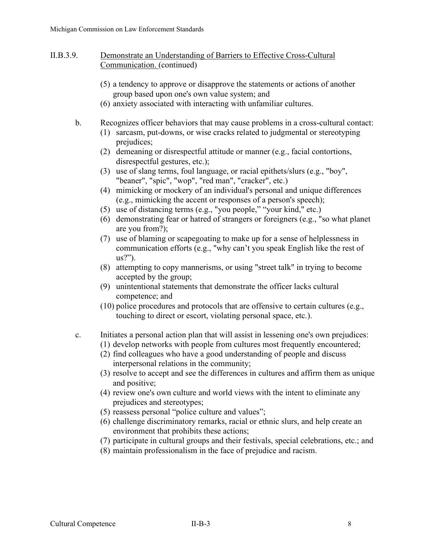#### II.B.3.9. Demonstrate an Understanding of Barriers to Effective Cross-Cultural Communication. (continued)

- (5) a tendency to approve or disapprove the statements or actions of another group based upon one's own value system; and
- (6) anxiety associated with interacting with unfamiliar cultures.
- b. Recognizes officer behaviors that may cause problems in a cross-cultural contact:
	- (1) sarcasm, put-downs, or wise cracks related to judgmental or stereotyping prejudices;
	- (2) demeaning or disrespectful attitude or manner (e.g., facial contortions, disrespectful gestures, etc.);
	- (3) use of slang terms, foul language, or racial epithets/slurs (e.g., "boy", "beaner", "spic", "wop", "red man", "cracker", etc.)
	- (4) mimicking or mockery of an individual's personal and unique differences (e.g., mimicking the accent or responses of a person's speech);
	- (5) use of distancing terms (e.g., "you people," "your kind," etc.)
	- (6) demonstrating fear or hatred of strangers or foreigners (e.g., "so what planet are you from?);
	- (7) use of blaming or scapegoating to make up for a sense of helplessness in communication efforts (e.g., "why can't you speak English like the rest of us?").
	- (8) attempting to copy mannerisms, or using "street talk" in trying to become accepted by the group;
	- (9) unintentional statements that demonstrate the officer lacks cultural competence; and
	- (10) police procedures and protocols that are offensive to certain cultures (e.g., touching to direct or escort, violating personal space, etc.).

## c. Initiates a personal action plan that will assist in lessening one's own prejudices:

- (1) develop networks with people from cultures most frequently encountered;
- (2) find colleagues who have a good understanding of people and discuss interpersonal relations in the community;
- (3) resolve to accept and see the differences in cultures and affirm them as unique and positive;
- (4) review one's own culture and world views with the intent to eliminate any prejudices and stereotypes;
- (5) reassess personal "police culture and values";
- (6) challenge discriminatory remarks, racial or ethnic slurs, and help create an environment that prohibits these actions;
- (7) participate in cultural groups and their festivals, special celebrations, etc.; and
- (8) maintain professionalism in the face of prejudice and racism.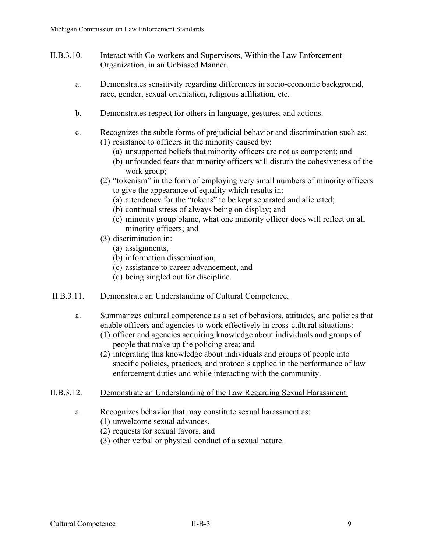- II.B.3.10. Interact with Co-workers and Supervisors, Within the Law Enforcement Organization, in an Unbiased Manner.
	- a. Demonstrates sensitivity regarding differences in socio-economic background, race, gender, sexual orientation, religious affiliation, etc.
	- b. Demonstrates respect for others in language, gestures, and actions.
	- c. Recognizes the subtle forms of prejudicial behavior and discrimination such as:
		- (1) resistance to officers in the minority caused by:
			- (a) unsupported beliefs that minority officers are not as competent; and
			- (b) unfounded fears that minority officers will disturb the cohesiveness of the work group;
		- (2) "tokenism" in the form of employing very small numbers of minority officers to give the appearance of equality which results in:
			- (a) a tendency for the "tokens" to be kept separated and alienated;
			- (b) continual stress of always being on display; and
			- (c) minority group blame, what one minority officer does will reflect on all minority officers; and
		- (3) discrimination in:
			- (a) assignments,
			- (b) information dissemination,
			- (c) assistance to career advancement, and
			- (d) being singled out for discipline.
- II.B.3.11. Demonstrate an Understanding of Cultural Competence.
	- a. Summarizes cultural competence as a set of behaviors, attitudes, and policies that enable officers and agencies to work effectively in cross-cultural situations:
		- (1) officer and agencies acquiring knowledge about individuals and groups of people that make up the policing area; and
		- (2) integrating this knowledge about individuals and groups of people into specific policies, practices, and protocols applied in the performance of law enforcement duties and while interacting with the community.
- II.B.3.12. Demonstrate an Understanding of the Law Regarding Sexual Harassment.
	- a. Recognizes behavior that may constitute sexual harassment as:
		- (1) unwelcome sexual advances,
		- (2) requests for sexual favors, and
		- (3) other verbal or physical conduct of a sexual nature.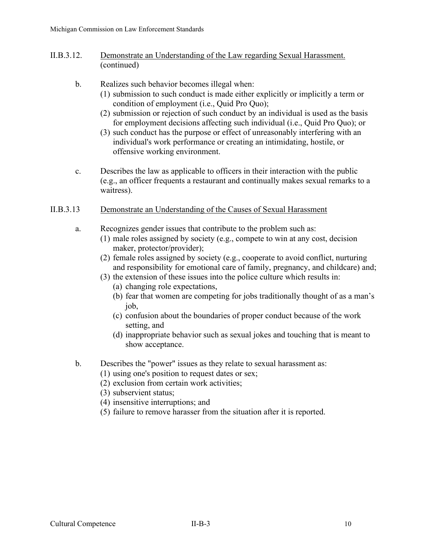- II.B.3.12. Demonstrate an Understanding of the Law regarding Sexual Harassment. (continued)
	- b. Realizes such behavior becomes illegal when:
		- (1) submission to such conduct is made either explicitly or implicitly a term or condition of employment (i.e., Quid Pro Quo);
		- (2) submission or rejection of such conduct by an individual is used as the basis for employment decisions affecting such individual (i.e., Quid Pro Quo); or
		- (3) such conduct has the purpose or effect of unreasonably interfering with an individual's work performance or creating an intimidating, hostile, or offensive working environment.
	- c. Describes the law as applicable to officers in their interaction with the public (e.g., an officer frequents a restaurant and continually makes sexual remarks to a waitress).

## II.B.3.13 Demonstrate an Understanding of the Causes of Sexual Harassment

- a. Recognizes gender issues that contribute to the problem such as:
	- (1) male roles assigned by society (e.g., compete to win at any cost, decision maker, protector/provider);
	- (2) female roles assigned by society (e.g., cooperate to avoid conflict, nurturing and responsibility for emotional care of family, pregnancy, and childcare) and;
	- (3) the extension of these issues into the police culture which results in:
		- (a) changing role expectations,
		- (b) fear that women are competing for jobs traditionally thought of as a man's job,
		- (c) confusion about the boundaries of proper conduct because of the work setting, and
		- (d) inappropriate behavior such as sexual jokes and touching that is meant to show acceptance.
- b. Describes the "power" issues as they relate to sexual harassment as:
	- (1) using one's position to request dates or sex;
	- (2) exclusion from certain work activities;
	- (3) subservient status;
	- (4) insensitive interruptions; and
	- (5) failure to remove harasser from the situation after it is reported.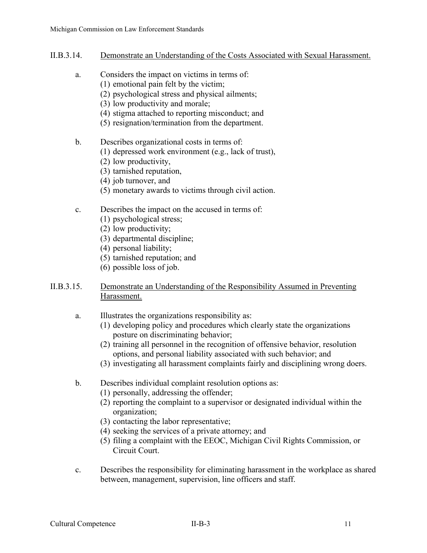- II.B.3.14. Demonstrate an Understanding of the Costs Associated with Sexual Harassment.
	- a. Considers the impact on victims in terms of:
		- (1) emotional pain felt by the victim;
			- (2) psychological stress and physical ailments;
			- (3) low productivity and morale;
			- (4) stigma attached to reporting misconduct; and
			- (5) resignation/termination from the department.
	- b. Describes organizational costs in terms of:
		- (1) depressed work environment (e.g., lack of trust),
		- (2) low productivity,
		- (3) tarnished reputation,
		- (4) job turnover, and
		- (5) monetary awards to victims through civil action.
	- c. Describes the impact on the accused in terms of:
		- (1) psychological stress;
		- (2) low productivity;
		- (3) departmental discipline;
		- (4) personal liability;
		- (5) tarnished reputation; and
		- (6) possible loss of job.

## II.B.3.15. Demonstrate an Understanding of the Responsibility Assumed in Preventing Harassment.

- a. Illustrates the organizations responsibility as:
	- (1) developing policy and procedures which clearly state the organizations posture on discriminating behavior;
	- (2) training all personnel in the recognition of offensive behavior, resolution options, and personal liability associated with such behavior; and
	- (3) investigating all harassment complaints fairly and disciplining wrong doers.
- b. Describes individual complaint resolution options as:
	- (1) personally, addressing the offender;
	- (2) reporting the complaint to a supervisor or designated individual within the organization;
	- (3) contacting the labor representative;
	- (4) seeking the services of a private attorney; and
	- (5) filing a complaint with the EEOC, Michigan Civil Rights Commission, or Circuit Court.
- c. Describes the responsibility for eliminating harassment in the workplace as shared between, management, supervision, line officers and staff.